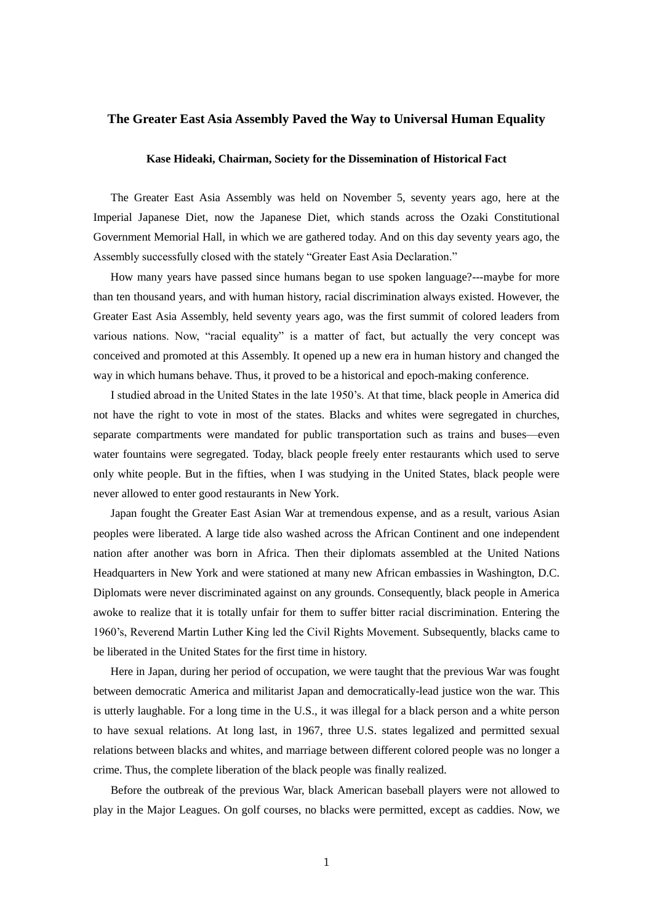## **The Greater East Asia Assembly Paved the Way to Universal Human Equality**

## **Kase Hideaki, Chairman, Society for the Dissemination of Historical Fact**

The Greater East Asia Assembly was held on November 5, seventy years ago, here at the Imperial Japanese Diet, now the Japanese Diet, which stands across the Ozaki Constitutional Government Memorial Hall, in which we are gathered today. And on this day seventy years ago, the Assembly successfully closed with the stately "Greater East Asia Declaration."

 How many years have passed since humans began to use spoken language?---maybe for more than ten thousand years, and with human history, racial discrimination always existed. However, the Greater East Asia Assembly, held seventy years ago, was the first summit of colored leaders from various nations. Now, "racial equality" is a matter of fact, but actually the very concept was conceived and promoted at this Assembly. It opened up a new era in human history and changed the way in which humans behave. Thus, it proved to be a historical and epoch-making conference.

 I studied abroad in the United States in the late 1950's. At that time, black people in America did not have the right to vote in most of the states. Blacks and whites were segregated in churches, separate compartments were mandated for public transportation such as trains and buses—even water fountains were segregated. Today, black people freely enter restaurants which used to serve only white people. But in the fifties, when I was studying in the United States, black people were never allowed to enter good restaurants in New York.

 Japan fought the Greater East Asian War at tremendous expense, and as a result, various Asian peoples were liberated. A large tide also washed across the African Continent and one independent nation after another was born in Africa. Then their diplomats assembled at the United Nations Headquarters in New York and were stationed at many new African embassies in Washington, D.C. Diplomats were never discriminated against on any grounds. Consequently, black people in America awoke to realize that it is totally unfair for them to suffer bitter racial discrimination. Entering the 1960's, Reverend Martin Luther King led the Civil Rights Movement. Subsequently, blacks came to be liberated in the United States for the first time in history.

 Here in Japan, during her period of occupation, we were taught that the previous War was fought between democratic America and militarist Japan and democratically-lead justice won the war. This is utterly laughable. For a long time in the U.S., it was illegal for a black person and a white person to have sexual relations. At long last, in 1967, three U.S. states legalized and permitted sexual relations between blacks and whites, and marriage between different colored people was no longer a crime. Thus, the complete liberation of the black people was finally realized.

 Before the outbreak of the previous War, black American baseball players were not allowed to play in the Major Leagues. On golf courses, no blacks were permitted, except as caddies. Now, we